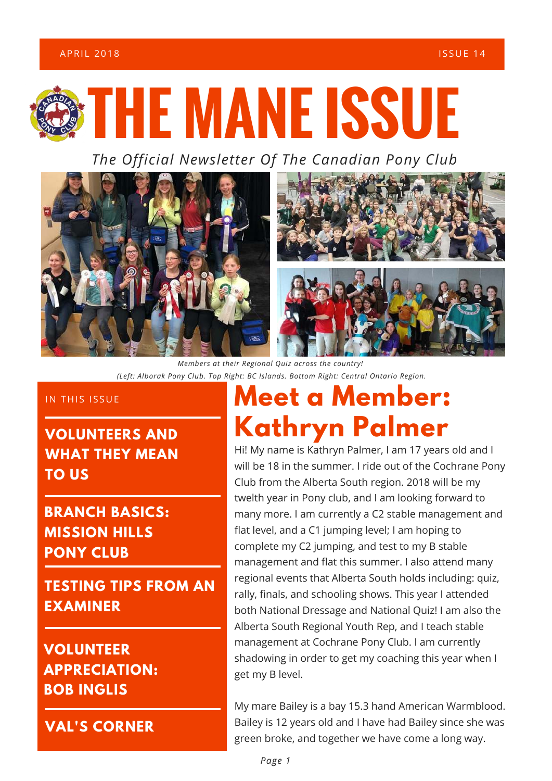### A PRIL 2018 **In the set of the set of the set of the set of the set of the set of the set of the set of the set of the set of the set of the set of the set of the set of the set of the set of the set of the set of the set**



*The Official Newsletter Of The Canadian Pony Club*



*Members at their Regional Quiz across the country! (Left: Alborak Pony Club. Top Right: BC Islands. Bottom Right: Central Ontario Region.*

### IN THIS ISSUE

**VOLUNTEERS AND WHAT THEY MEAN TO US**

**BRANCH BASICS: MISSION HILLS PONY CLUB**

**TESTING TIPS FROM AN EXAMINER**

### **VOLUNTEER APPRECIATION: BOB INGLIS**

**VAL'S CORNER**

# **Meet a Member: Kathryn Palmer**

Hi! My name is Kathryn Palmer, I am 17 years old and I will be 18 in the summer. I ride out of the Cochrane Pony Club from the Alberta South region. 2018 will be my twelth year in Pony club, and I am looking forward to many more. I am currently a C2 stable management and flat level, and a C1 jumping level; I am hoping to complete my C2 jumping, and test to my B stable management and flat this summer. I also attend many regional events that Alberta South holds including: quiz, rally, finals, and schooling shows. This year I attended both National Dressage and National Quiz! I am also the Alberta South Regional Youth Rep, and I teach stable management at Cochrane Pony Club. I am currently shadowing in order to get my coaching this year when I get my B level.

My mare Bailey is a bay 15.3 hand American Warmblood. Bailey is 12 years old and I have had Bailey since she was green broke, and together we have come a long way.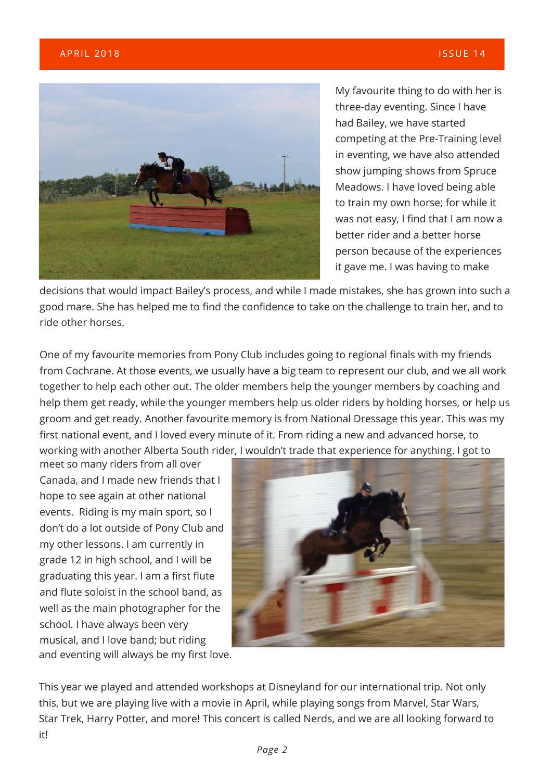

My favourite thing to do with her is three-day eventing. Since I have had Bailey, we have started competing at the Pre-Training level in eventing, we have also attended show jumping shows from Spruce Meadows. I have loved being able to train my own horse; for while it was not easy, I find that I am now a better rider and a better horse person because of the experiences it gave me. I was having to make

decisions that would impact Bailey's process, and while I made mistakes, she has grown into such a good mare. She has helped me to find the confidence to take on the challenge to train her, and to ride other horses.

One of my favourite memories from Pony Club includes going to regional finals with my friends from Cochrane. At those events, we usually have a big team to represent our club, and we all work together to help each other out. The older members help the younger members by coaching and help them get ready, while the younger members help us older riders by holding horses, or help us groom and get ready. Another favourite memory is from National Dressage this year. This was my first national event, and I loved every minute of it. From riding a new and advanced horse, to working with another Alberta South rider, I wouldn't trade that experience for anything. I got to

and eventing will always be my first love. meet so many riders from all over Canada, and I made new friends that I hope to see again at other national events. Riding is my main sport, so I don't do a lot outside of Pony Club and my other lessons. I am currently in grade 12 in high school, and I will be graduating this year. I am a first flute and flute soloist in the school band, as well as the main photographer for the school. I have always been very musical, and I love band; but riding



This year we played and attended workshops at Disneyland for our international trip. Not only this, but we are playing live with a movie in April, while playing songs from Marvel, Star Wars, Star Trek, Harry Potter, and more! This concert is called Nerds, and we are all looking forward to it!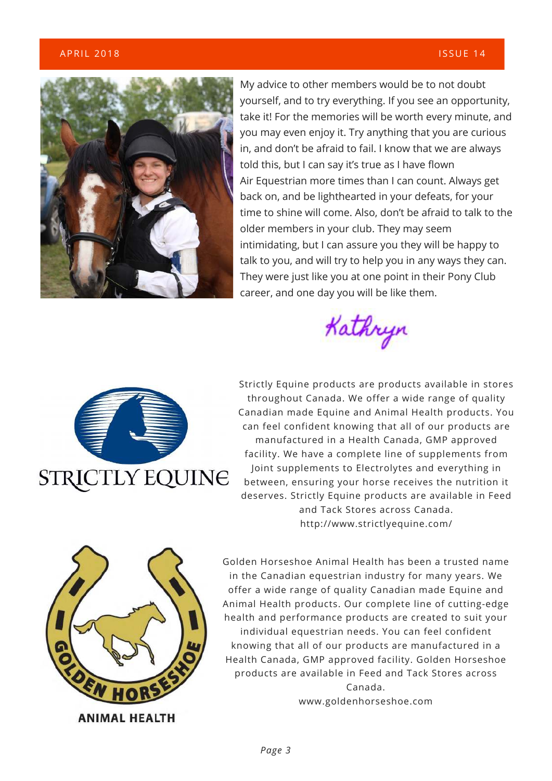#### A PRIL 2018 **In the set of the set of the set of the set of the set of the set of the set of the set of the set of the set of the set of the set of the set of the set of the set of the set of the set of the set of the set**



My advice to other members would be to not doubt yourself, and to try everything. If you see an opportunity, take it! For the memories will be worth every minute, and you may even enjoy it. Try anything that you are curious in, and don't be afraid to fail. I know that we are always told this, but I can say it's true as I have flown Air Equestrian more times than I can count. Always get back on, and be lighthearted in your defeats, for your time to shine will come. Also, don't be afraid to talk to the older members in your club. They may seem intimidating, but I can assure you they will be happy to talk to you, and will try to help you in any ways they can. They were just like you at one point in their Pony Club career, and one day you will be like them.





Strictly Equine products are products available in stores throughout Canada. We offer a wide range of quality Canadian made Equine and Animal Health products. You can feel confident knowing that all of our products are manufactured in a Health Canada, GMP approved facility. We have a complete line of supplements from Joint supplements to Electrolytes and everything in between, ensuring your horse receives the nutrition it deserves. Strictly Equine products are available in Feed and Tack Stores across Canada. http://www.strictlyequine.com/



Golden Horseshoe Animal Health has been a trusted name in the Canadian equestrian industry for many years. We offer a wide range of quality Canadian made Equine and Animal Health products. Our complete line of cutting-edge health and performance products are created to suit your individual equestrian needs. You can feel confident knowing that all of our products are manufactured in a Health Canada, GMP approved facility. Golden Horseshoe products are available in Feed and Tack Stores across Canada. www.goldenhorseshoe.com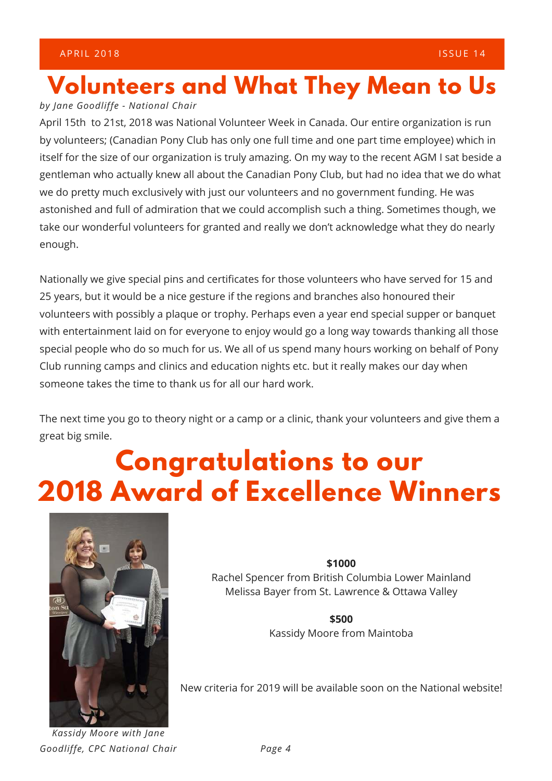# **Volunteers and What They Mean to Us**

#### *by Jane Goodliffe - National Chair*

April 15th to 21st, 2018 was National Volunteer Week in Canada. Our entire organization is run by volunteers; (Canadian Pony Club has only one full time and one part time employee) which in itself for the size of our organization is truly amazing. On my way to the recent AGM I sat beside a gentleman who actually knew all about the Canadian Pony Club, but had no idea that we do what we do pretty much exclusively with just our volunteers and no government funding. He was astonished and full of admiration that we could accomplish such a thing. Sometimes though, we take our wonderful volunteers for granted and really we don't acknowledge what they do nearly enough.

Nationally we give special pins and certificates for those volunteers who have served for 15 and 25 years, but it would be a nice gesture if the regions and branches also honoured their volunteers with possibly a plaque or trophy. Perhaps even a year end special supper or banquet with entertainment laid on for everyone to enjoy would go a long way towards thanking all those special people who do so much for us. We all of us spend many hours working on behalf of Pony Club running camps and clinics and education nights etc. but it really makes our day when someone takes the time to thank us for all our hard work.

The next time you go to theory night or a camp or a clinic, thank your volunteers and give them a great big smile.

# **Congratulations to our 2018 Award of Excellence Winners**



*Kassidy Moore with Jane Goodliffe, CPC National Chair* **\$1000**

Rachel Spencer from British Columbia Lower Mainland Melissa Bayer from St. Lawrence & Ottawa Valley

> **\$500** Kassidy Moore from Maintoba

New criteria for 2019 will be available soon on the National website!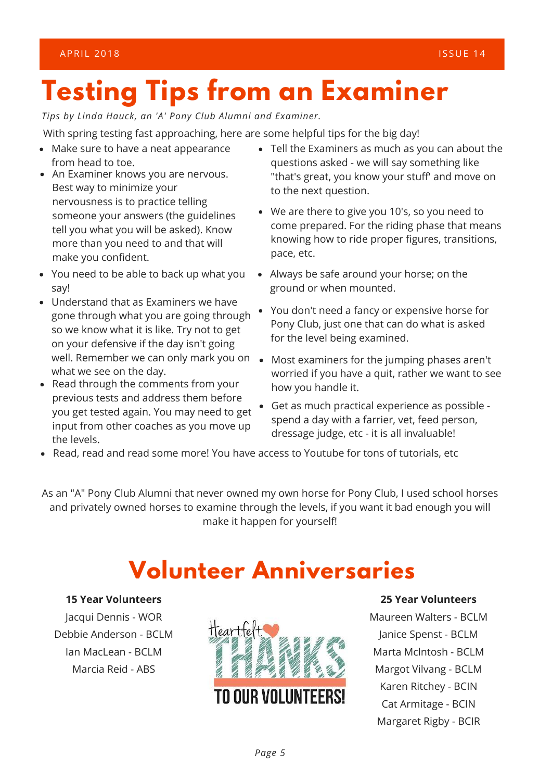*Tips by Linda Hauck, an 'A' Pony Club Alumni and Examiner.* 

With spring testing fast approaching, here are some helpful tips for the big day!

- Make sure to have a neat appearance from head to toe.
- An Examiner knows you are nervous. Best way to minimize your nervousness is to practice telling someone your answers (the guidelines tell you what you will be asked). Know more than you need to and that will make you confident.
- You need to be able to back up what you say!
- Understand that as Examiners we have gone through what you are going through so we know what it is like. Try not to get on your defensive if the day isn't going what we see on the day.
- Read through the comments from your previous tests and address them before you get tested again. You may need to get input from other coaches as you move up the levels.
- Tell the Examiners as much as you can about the questions asked - we will say something like "that's great, you know your stuff' and move on to the next question.
- We are there to give you 10's, so you need to come prepared. For the riding phase that means knowing how to ride proper figures, transitions, pace, etc.
- Always be safe around your horse; on the ground or when mounted.
- You don't need a fancy or expensive horse for Pony Club, just one that can do what is asked for the level being examined.
- well. Remember we can only mark you on Most examiners for the jumping phases aren't worried if you have a quit, rather we want to see how you handle it.
	- Get as much practical experience as possible spend a day with a farrier, vet, feed person, dressage judge, etc - it is all invaluable!
- Read, read and read some more! You have access to Youtube for tons of tutorials, etc

As an "A" Pony Club Alumni that never owned my own horse for Pony Club, I used school horses and privately owned horses to examine through the levels, if you want it bad enough you will make it happen for yourself!

## **Volunteer Anniversaries**

#### **15 Year Volunteers**

Jacqui Dennis - WOR Debbie Anderson - BCLM Ian MacLean - BCLM Marcia Reid - ABS



### **25 Year Volunteers**

Maureen Walters - BCLM Janice Spenst - BCLM Marta Mclntosh - BCLM Margot Vilvang - BCLM Karen Ritchey - BCIN Cat Armitage - BCIN Margaret Rigby - BCIR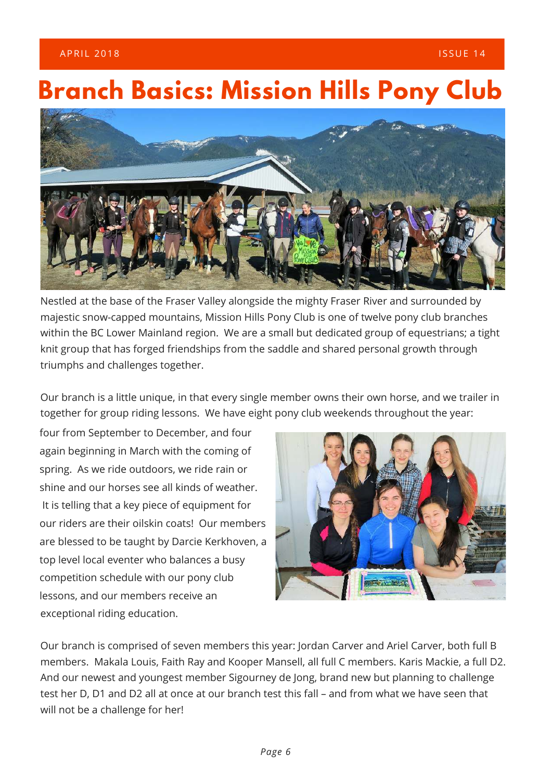### A PRIL 2018 **In the set of the set of the set of the set of the set of the set of the set of the set of the set of the set of the set of the set of the set of the set of the set of the set of the set of the set of the set**

## **Branch Basics: Mission Hills Pony Club**



Nestled at the base of the Fraser Valley alongside the mighty Fraser River and surrounded by majestic snow-capped mountains, Mission Hills Pony Club is one of twelve pony club branches within the BC Lower Mainland region. We are a small but dedicated group of equestrians; a tight knit group that has forged friendships from the saddle and shared personal growth through triumphs and challenges together.

Our branch is a little unique, in that every single member owns their own horse, and we trailer in together for group riding lessons. We have eight pony club weekends throughout the year:

four from September to December, and four again beginning in March with the coming of spring. As we ride outdoors, we ride rain or shine and our horses see all kinds of weather. It is telling that a key piece of equipment for our riders are their oilskin coats! Our members are blessed to be taught by Darcie Kerkhoven, a top level local eventer who balances a busy competition schedule with our pony club lessons, and our members receive an exceptional riding education.



Our branch is comprised of seven members this year: Jordan Carver and Ariel Carver, both full B members. Makala Louis, Faith Ray and Kooper Mansell, all full C members. Karis Mackie, a full D2. And our newest and youngest member Sigourney de Jong, brand new but planning to challenge test her D, D1 and D2 all at once at our branch test this fall – and from what we have seen that will not be a challenge for her!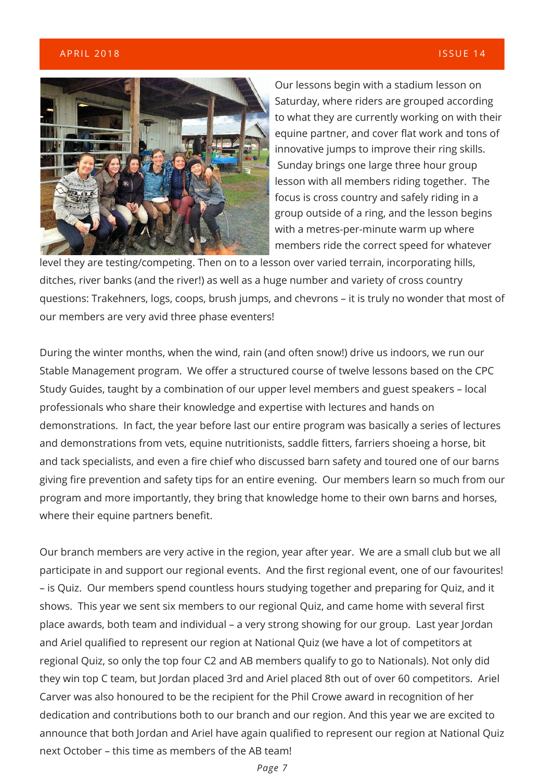#### $\mathsf{APRIL}\ 2018$  and  $\mathsf{APRIL}\ 2018$  is the set of the set of the set of the set of the set of the set of the set of the set of the set of the set of the set of the set of the set of the set of the set of the set of the se



Our lessons begin with a stadium lesson on Saturday, where riders are grouped according to what they are currently working on with their equine partner, and cover flat work and tons of innovative jumps to improve their ring skills. Sunday brings one large three hour group lesson with all members riding together. The focus is cross country and safely riding in a group outside of a ring, and the lesson begins with a metres-per-minute warm up where members ride the correct speed for whatever

level they are testing/competing. Then on to a lesson over varied terrain, incorporating hills, ditches, river banks (and the river!) as well as a huge number and variety of cross country questions: Trakehners, logs, coops, brush jumps, and chevrons – it is truly no wonder that most of our members are very avid three phase eventers!

During the winter months, when the wind, rain (and often snow!) drive us indoors, we run our Stable Management program. We offer a structured course of twelve lessons based on the CPC Study Guides, taught by a combination of our upper level members and guest speakers – local professionals who share their knowledge and expertise with lectures and hands on demonstrations. In fact, the year before last our entire program was basically a series of lectures and demonstrations from vets, equine nutritionists, saddle fitters, farriers shoeing a horse, bit and tack specialists, and even a fire chief who discussed barn safety and toured one of our barns giving fire prevention and safety tips for an entire evening. Our members learn so much from our program and more importantly, they bring that knowledge home to their own barns and horses, where their equine partners benefit.

Our branch members are very active in the region, year after year. We are a small club but we all participate in and support our regional events. And the first regional event, one of our favourites! – is Quiz. Our members spend countless hours studying together and preparing for Quiz, and it shows. This year we sent six members to our regional Quiz, and came home with several first place awards, both team and individual – a very strong showing for our group. Last year Jordan and Ariel qualified to represent our region at National Quiz (we have a lot of competitors at regional Quiz, so only the top four C2 and AB members qualify to go to Nationals). Not only did they win top C team, but Jordan placed 3rd and Ariel placed 8th out of over 60 competitors. Ariel Carver was also honoured to be the recipient for the Phil Crowe award in recognition of her dedication and contributions both to our branch and our region. And this year we are excited to announce that both Jordan and Ariel have again qualified to represent our region at National Quiz next October – this time as members of the AB team!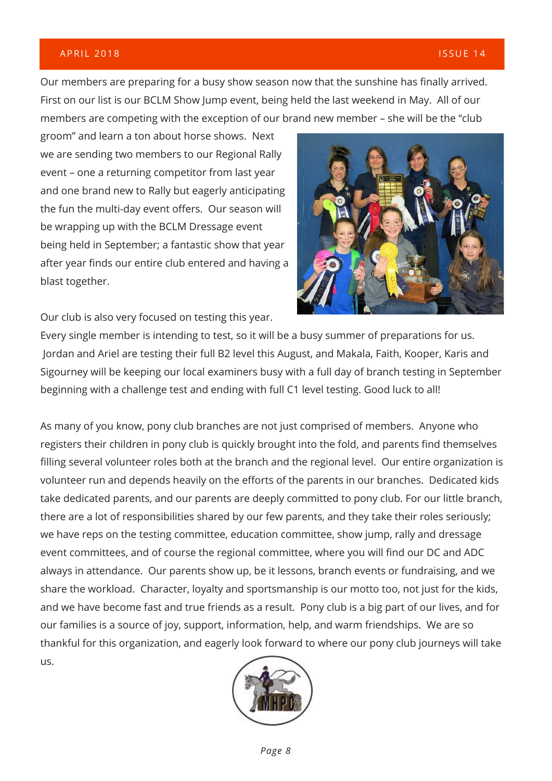#### A PRIL 2018  $\overline{a}$  2018  $\overline{a}$  is a set of the set of the set of the set of the set of the set of the set of the set of the set of the set of the set of the set of the set of the set of the set of the set of the set o

Our members are preparing for a busy show season now that the sunshine has finally arrived. First on our list is our BCLM Show Jump event, being held the last weekend in May. All of our members are competing with the exception of our brand new member – she will be the "club

groom" and learn a ton about horse shows. Next we are sending two members to our Regional Rally event – one a returning competitor from last year and one brand new to Rally but eagerly anticipating the fun the multi-day event offers. Our season will be wrapping up with the BCLM Dressage event being held in September; a fantastic show that year after year finds our entire club entered and having a blast together.

Our club is also very focused on testing this year.



Every single member is intending to test, so it will be a busy summer of preparations for us. Jordan and Ariel are testing their full B2 level this August, and Makala, Faith, Kooper, Karis and Sigourney will be keeping our local examiners busy with a full day of branch testing in September beginning with a challenge test and ending with full C1 level testing. Good luck to all!

As many of you know, pony club branches are not just comprised of members. Anyone who registers their children in pony club is quickly brought into the fold, and parents find themselves filling several volunteer roles both at the branch and the regional level. Our entire organization is volunteer run and depends heavily on the efforts of the parents in our branches. Dedicated kids take dedicated parents, and our parents are deeply committed to pony club. For our little branch, there are a lot of responsibilities shared by our few parents, and they take their roles seriously; we have reps on the testing committee, education committee, show jump, rally and dressage event committees, and of course the regional committee, where you will find our DC and ADC always in attendance. Our parents show up, be it lessons, branch events or fundraising, and we share the workload. Character, loyalty and sportsmanship is our motto too, not just for the kids, and we have become fast and true friends as a result. Pony club is a big part of our lives, and for our families is a source of joy, support, information, help, and warm friendships. We are so thankful for this organization, and eagerly look forward to where our pony club journeys will take us.

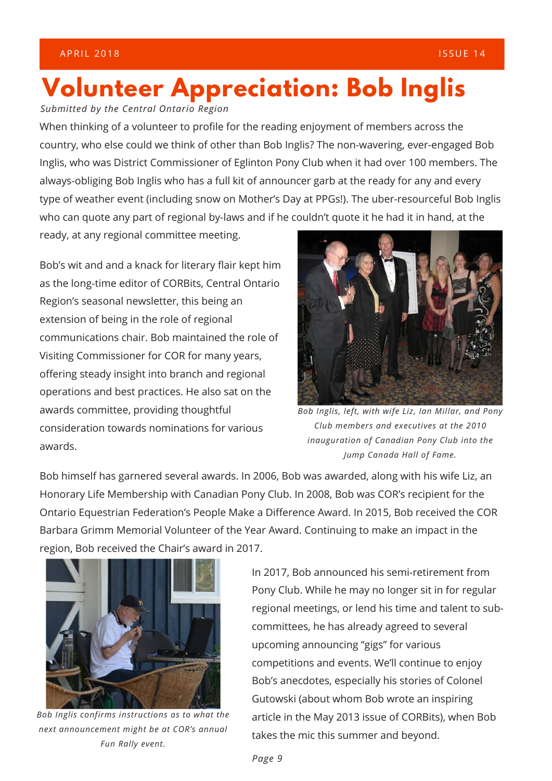# **Volunteer Appreciation: Bob Inglis**

*Submitted by the Central Ontario Region*

When thinking of a volunteer to profile for the reading enjoyment of members across the country, who else could we think of other than Bob Inglis? The non-wavering, ever-engaged Bob Inglis, who was District Commissioner of Eglinton Pony Club when it had over 100 members. The always-obliging Bob Inglis who has a full kit of announcer garb at the ready for any and every type of weather event (including snow on Mother's Day at PPGs!). The uber-resourceful Bob Inglis who can quote any part of regional by-laws and if he couldn't quote it he had it in hand, at the

ready, at any regional committee meeting.

Bob's wit and and a knack for literary flair kept him as the long-time editor of CORBits, Central Ontario Region's seasonal newsletter, this being an extension of being in the role of regional communications chair. Bob maintained the role of Visiting Commissioner for COR for many years, offering steady insight into branch and regional operations and best practices. He also sat on the awards committee, providing thoughtful consideration towards nominations for various awards.



*Bob Inglis, left, with wife Liz, Ian Millar, and Pony Club members and executives at the 2010 inauguration of Canadian Pony Club into the Jump Canada Hall of Fame.*

Bob himself has garnered several awards. In 2006, Bob was awarded, along with his wife Liz, an Honorary Life Membership with Canadian Pony Club. In 2008, Bob was COR's recipient for the Ontario Equestrian Federation's People Make a Difference Award. In 2015, Bob received the COR Barbara Grimm Memorial Volunteer of the Year Award. Continuing to make an impact in the region, Bob received the Chair's award in 2017.



*Bob Inglis confirms instructions as to what the next announcement might be at COR's annual Fun Rally event.*

In 2017, Bob announced his semi-retirement from Pony Club. While he may no longer sit in for regular regional meetings, or lend his time and talent to subcommittees, he has already agreed to several upcoming announcing "gigs" for various competitions and events. We'll continue to enjoy Bob's anecdotes, especially his stories of Colonel Gutowski (about whom Bob wrote an inspiring article in the May 2013 issue of CORBits), when Bob takes the mic this summer and beyond.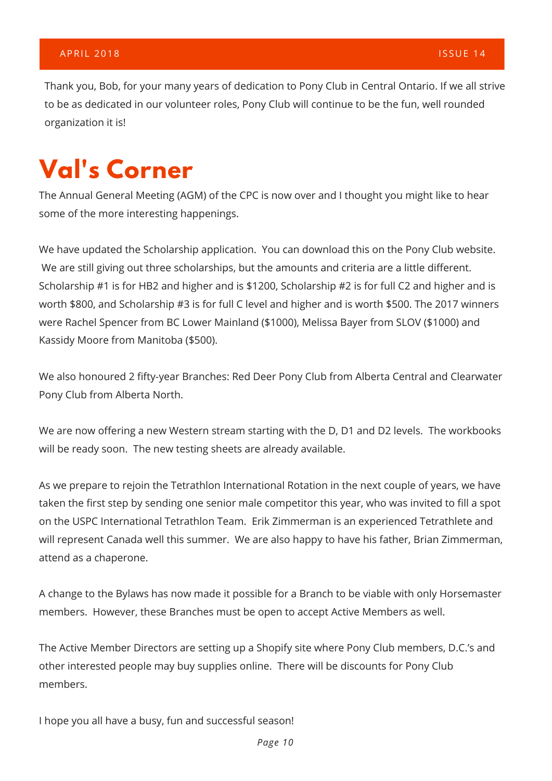Thank you, Bob, for your many years of dedication to Pony Club in Central Ontario. If we all strive to be as dedicated in our volunteer roles, Pony Club will continue to be the fun, well rounded organization it is!

# **Val's Corner**

The Annual General Meeting (AGM) of the CPC is now over and I thought you might like to hear some of the more interesting happenings.

We have updated the Scholarship application. You can download this on the Pony Club website. We are still giving out three scholarships, but the amounts and criteria are a little different. Scholarship #1 is for HB2 and higher and is \$1200, Scholarship #2 is for full C2 and higher and is worth \$800, and Scholarship #3 is for full C level and higher and is worth \$500. The 2017 winners were Rachel Spencer from BC Lower Mainland (\$1000), Melissa Bayer from SLOV (\$1000) and Kassidy Moore from Manitoba (\$500).

We also honoured 2 fifty-year Branches: Red Deer Pony Club from Alberta Central and Clearwater Pony Club from Alberta North.

We are now offering a new Western stream starting with the D, D1 and D2 levels. The workbooks will be ready soon. The new testing sheets are already available.

As we prepare to rejoin the Tetrathlon International Rotation in the next couple of years, we have taken the first step by sending one senior male competitor this year, who was invited to fill a spot on the USPC International Tetrathlon Team. Erik Zimmerman is an experienced Tetrathlete and will represent Canada well this summer. We are also happy to have his father, Brian Zimmerman, attend as a chaperone.

A change to the Bylaws has now made it possible for a Branch to be viable with only Horsemaster members. However, these Branches must be open to accept Active Members as well.

The Active Member Directors are setting up a Shopify site where Pony Club members, D.C.'s and other interested people may buy supplies online. There will be discounts for Pony Club members.

I hope you all have a busy, fun and successful season!